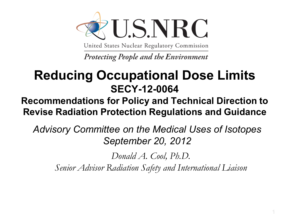

United States Nuclear Regulatory Commission

Protecting People and the Environment

#### **Reducing Occupational Dose Limits SECY-12-0064**

#### **Recommendations for Policy and Technical Direction to Revise Radiation Protection Regulations and Guidance**

*Advisory Committee on the Medical Uses of Isotopes September 20, 2012*

*Donald A. Cool, Ph.D.*

*Senior Advisor Radiation Safety and International Liaison*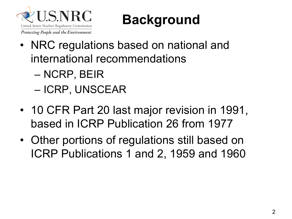

#### **Background**

- NRC regulations based on national and international recommendations
	- NCRP, BEIR
	- ICRP, UNSCEAR
- 10 CFR Part 20 last major revision in 1991, based in ICRP Publication 26 from 1977
- Other portions of regulations still based on ICRP Publications 1 and 2, 1959 and 1960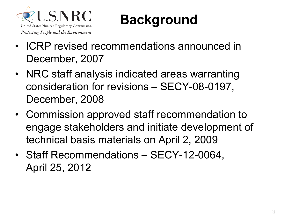

#### **Background**

- ICRP revised recommendations announced in December, 2007
- NRC staff analysis indicated areas warranting consideration for revisions – SECY-08-0197, December, 2008
- Commission approved staff recommendation to engage stakeholders and initiate development of technical basis materials on April 2, 2009
- Staff Recommendations SECY-12-0064, April 25, 2012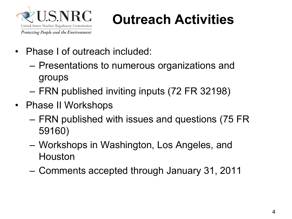

#### **Outreach Activities**

- Phase I of outreach included:
	- Presentations to numerous organizations and groups
	- FRN published inviting inputs (72 FR 32198)
- Phase II Workshops
	- FRN published with issues and questions (75 FR 59160)
	- Workshops in Washington, Los Angeles, and Houston
	- Comments accepted through January 31, 2011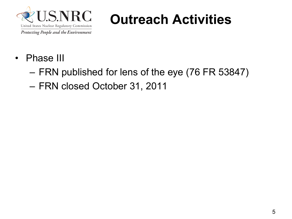

#### **Outreach Activities**

- Phase III
	- FRN published for lens of the eye (76 FR 53847)
	- FRN closed October 31, 2011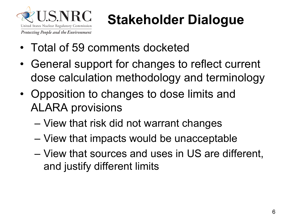

## **Stakeholder Dialogue**

- Total of 59 comments docketed
- General support for changes to reflect current dose calculation methodology and terminology
- Opposition to changes to dose limits and ALARA provisions
	- View that risk did not warrant changes
	- View that impacts would be unacceptable
	- View that sources and uses in US are different, and justify different limits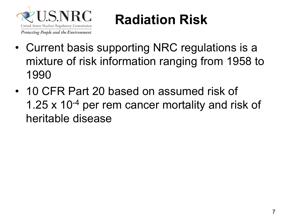

#### **Radiation Risk**

- Current basis supporting NRC regulations is a mixture of risk information ranging from 1958 to 1990
- 10 CFR Part 20 based on assumed risk of 1.25 x 10<sup>-4</sup> per rem cancer mortality and risk of heritable disease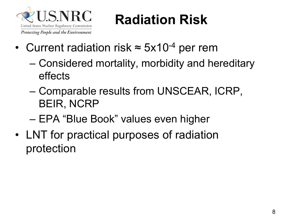

#### **Radiation Risk**

- Current radiation risk  $\approx$  5x10<sup>-4</sup> per rem
	- Considered mortality, morbidity and hereditary effects
	- Comparable results from UNSCEAR, ICRP, BEIR, NCRP
	- EPA "Blue Book" values even higher
- LNT for practical purposes of radiation protection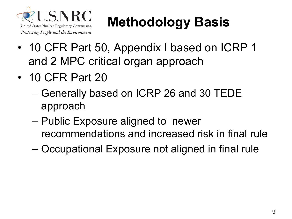

## **Methodology Basis**

- 10 CFR Part 50, Appendix I based on ICRP 1 and 2 MPC critical organ approach
- 10 CFR Part 20
	- Generally based on ICRP 26 and 30 TEDE approach
	- Public Exposure aligned to newer recommendations and increased risk in final rule
	- Occupational Exposure not aligned in final rule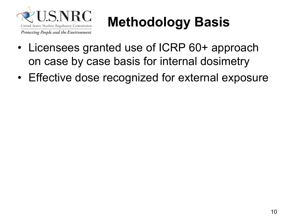

## **Methodology Basis**

- Licensees granted use of ICRP 60+ approach on case by case basis for internal dosimetry
- Effective dose recognized for external exposure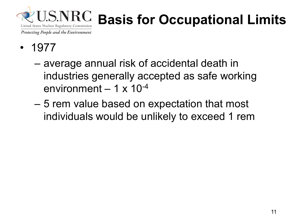

## **Basis for Occupational Limits**

- 1977
	- average annual risk of accidental death in industries generally accepted as safe working environment  $-1 \times 10^{-4}$
	- 5 rem value based on expectation that most individuals would be unlikely to exceed 1 rem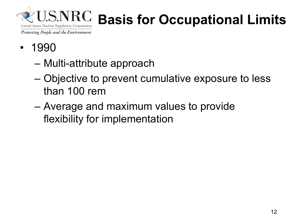

## **Basis for Occupational Limits**

- 1990
	- Multi-attribute approach
	- Objective to prevent cumulative exposure to less than 100 rem
	- Average and maximum values to provide flexibility for implementation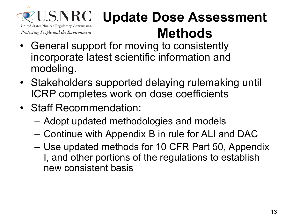

#### **Update Dose Assessment Methods**

- General support for moving to consistently incorporate latest scientific information and modeling.
- Stakeholders supported delaying rulemaking until ICRP completes work on dose coefficients
- Staff Recommendation:
	- Adopt updated methodologies and models
	- Continue with Appendix B in rule for ALI and DAC
	- Use updated methods for 10 CFR Part 50, Appendix I, and other portions of the regulations to establish new consistent basis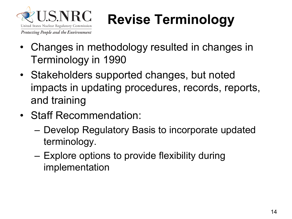

## **Revise Terminology**

- Changes in methodology resulted in changes in Terminology in 1990
- Stakeholders supported changes, but noted impacts in updating procedures, records, reports, and training
- Staff Recommendation:
	- Develop Regulatory Basis to incorporate updated terminology.
	- Explore options to provide flexibility during implementation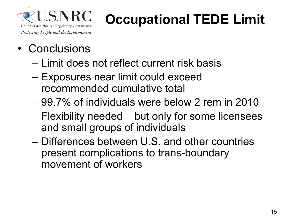

## **Occupational TEDE Limit**

- Conclusions
	- Limit does not reflect current risk basis
	- Exposures near limit could exceed recommended cumulative total
	- 99.7% of individuals were below 2 rem in 2010
	- Flexibility needed but only for some licensees and small groups of individuals
	- Differences between U.S. and other countries present complications to trans-boundary movement of workers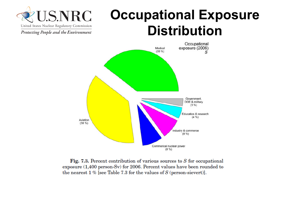#### **Occupational Exposure Distribution**





Fig. 7.3. Percent contribution of various sources to  $S$  for occupational exposure (1,400 person-Sv) for 2006. Percent values have been rounded to the nearest  $1\%$  [see Table 7.3 for the values of S (person-sievert)].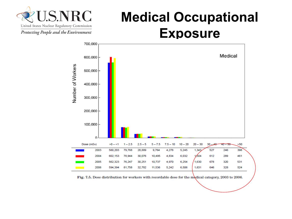

#### **Medical Occupational Exposure**



Fig. 7.5. Dose distribution for workers with recordable dose for the medical category, 2003 to 2006.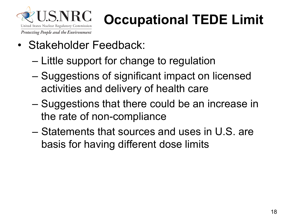

### **Occupational TEDE Limit**

- Stakeholder Feedback:
	- Little support for change to regulation
	- Suggestions of significant impact on licensed activities and delivery of health care
	- Suggestions that there could be an increase in the rate of non-compliance
	- Statements that sources and uses in U.S. are basis for having different dose limits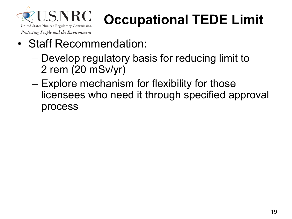

## **Occupational TEDE Limit**

- Staff Recommendation:
	- Develop regulatory basis for reducing limit to 2 rem (20 mSv/yr)
	- Explore mechanism for flexibility for those licensees who need it through specified approval process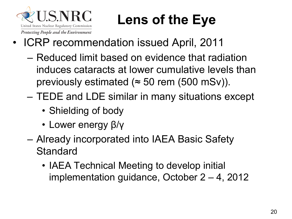

## **Lens of the Eye**

- ICRP recommendation issued April, 2011
	- Reduced limit based on evidence that radiation induces cataracts at lower cumulative levels than previously estimated ( $\approx$  50 rem (500 mSv)).
	- TEDE and LDE similar in many situations except
		- Shielding of body
		- Lower energy β/γ
	- Already incorporated into IAEA Basic Safety **Standard** 
		- IAEA Technical Meeting to develop initial implementation guidance, October 2 – 4, 2012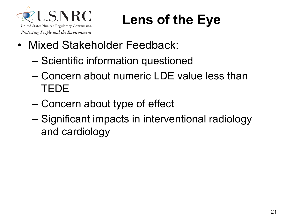

#### **Lens of the Eye**

- Mixed Stakeholder Feedback:
	- Scientific information questioned
	- Concern about numeric LDE value less than TEDE
	- Concern about type of effect
	- Significant impacts in interventional radiology and cardiology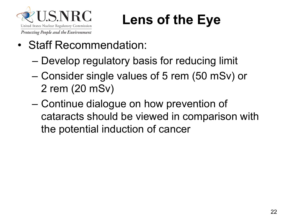

#### **Lens of the Eye**

- Staff Recommendation:
	- Develop regulatory basis for reducing limit
	- Consider single values of 5 rem (50 mSv) or 2 rem (20 mSv)
	- Continue dialogue on how prevention of cataracts should be viewed in comparison with the potential induction of cancer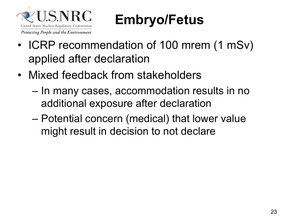

#### **Embryo/Fetus**

- ICRP recommendation of 100 mrem (1 mSv) applied after declaration
- Mixed feedback from stakeholders
	- In many cases, accommodation results in no additional exposure after declaration
	- Potential concern (medical) that lower value might result in decision to not declare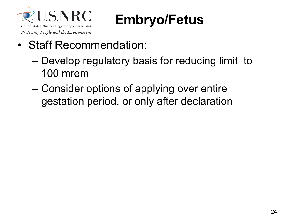

#### **Embryo/Fetus**

- Staff Recommendation:
	- Develop regulatory basis for reducing limit to 100 mrem
	- Consider options of applying over entire gestation period, or only after declaration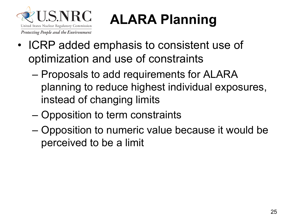

# **ALARA Planning**

- ICRP added emphasis to consistent use of optimization and use of constraints
	- Proposals to add requirements for ALARA planning to reduce highest individual exposures, instead of changing limits
	- Opposition to term constraints
	- Opposition to numeric value because it would be perceived to be a limit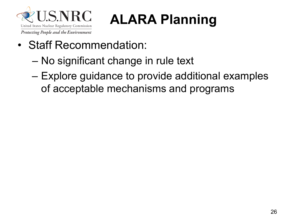

# **ALARA Planning**

- Staff Recommendation:
	- No significant change in rule text
	- Explore guidance to provide additional examples of acceptable mechanisms and programs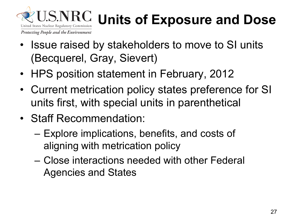

## **Units of Exposure and Dose**

Protecting People and the Environment

- Issue raised by stakeholders to move to SI units (Becquerel, Gray, Sievert)
- HPS position statement in February, 2012
- Current metrication policy states preference for SI units first, with special units in parenthetical
- Staff Recommendation:
	- Explore implications, benefits, and costs of aligning with metrication policy
	- Close interactions needed with other Federal Agencies and States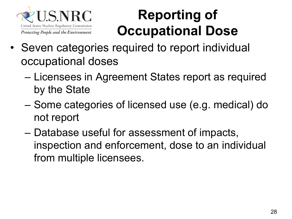

#### **Reporting of Occupational Dose**

- Seven categories required to report individual occupational doses
	- Licensees in Agreement States report as required by the State
	- Some categories of licensed use (e.g. medical) do not report
	- Database useful for assessment of impacts, inspection and enforcement, dose to an individual from multiple licensees.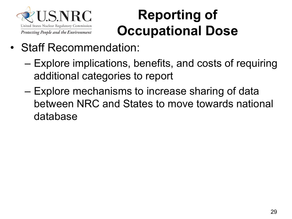

#### **Reporting of Occupational Dose**

- Staff Recommendation:
	- Explore implications, benefits, and costs of requiring additional categories to report
	- Explore mechanisms to increase sharing of data between NRC and States to move towards national database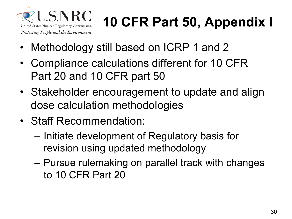

# **10 CFR Part 50, Appendix I**

- Methodology still based on ICRP 1 and 2
- Compliance calculations different for 10 CFR Part 20 and 10 CFR part 50
- Stakeholder encouragement to update and align dose calculation methodologies
- Staff Recommendation:
	- Initiate development of Regulatory basis for revision using updated methodology
	- Pursue rulemaking on parallel track with changes to 10 CFR Part 20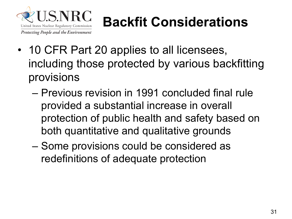

## **Backfit Considerations**

- 10 CFR Part 20 applies to all licensees, including those protected by various backfitting provisions
	- Previous revision in 1991 concluded final rule provided a substantial increase in overall protection of public health and safety based on both quantitative and qualitative grounds
	- Some provisions could be considered as redefinitions of adequate protection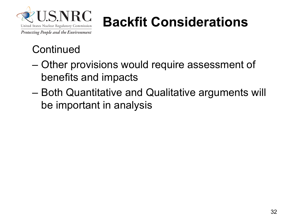

## **Backfit Considerations**

#### **Continued**

- Other provisions would require assessment of benefits and impacts
- Both Quantitative and Qualitative arguments will be important in analysis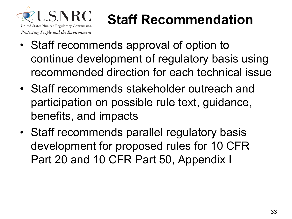

### **Staff Recommendation**

- Staff recommends approval of option to continue development of regulatory basis using recommended direction for each technical issue
- Staff recommends stakeholder outreach and participation on possible rule text, guidance, benefits, and impacts
- Staff recommends parallel regulatory basis development for proposed rules for 10 CFR Part 20 and 10 CFR Part 50, Appendix I